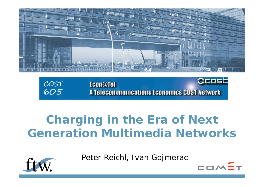

COST<br>605 **Econ@Tel A Telecommunications Economics COST Network** 

## **Charging in the Era of Next Generation Multimedia Networks**

Peter Reichl, Ivan Gojmerac

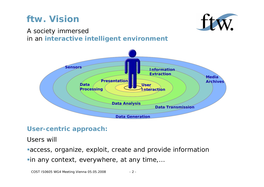## **ftw. Vision**



#### A society immersed in an **interactive intelligent environment**



#### **User-centric approach:**

Users will

access, organize, exploit, create and provide information in any context, everywhere, at any time,…

COST IS0605 WG4 Meeting Vienna 05.05.2008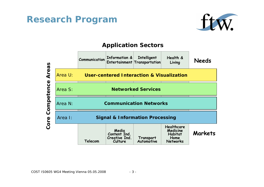#### **Research Program**



#### **Application Sectors**

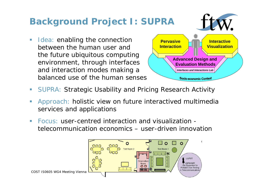## **Background Project I: SUPRA**

 $\mathcal{L}_{\mathcal{A}}$  Idea: enabling the connection between the human user and the future ubiquitous computing environment, through interfaces and interaction modes making a balanced use of the human senses



- $\mathcal{L}_{\mathcal{A}}$ SUPRA: Strategic Usability and Pricing Research Activity
- $\Box$  Approach: holistic view on future interactived multimedia services and applications
- Focus: user-centred interaction and visualization telecommunication economics – user-driven innovation

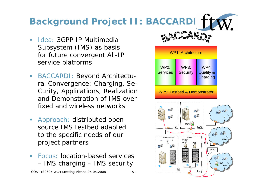# **Background Project II: BACCARDI**

- $\blacksquare$  Idea: 3GPP IP Multimedia Subsystem (IMS) as basis for future convergent All-IP service platforms
- $\mathcal{L}_{\mathcal{A}}$  BACCARDI: Beyond Architectural Convergence: Charging, Se-Curity, Applications, Realization and Demonstration of IMS over fixed and wireless networks
- $\Box$  Approach: distributed open source IMS testbed adapted to the specific needs of our project partners
- $\mathcal{L}_{\mathcal{A}}$  Focus: location-based servicesIMS charging – IMS security

COST IS0605 WG4 Meeting Vienna 05.05.2008 - 5 -



**ftw.**